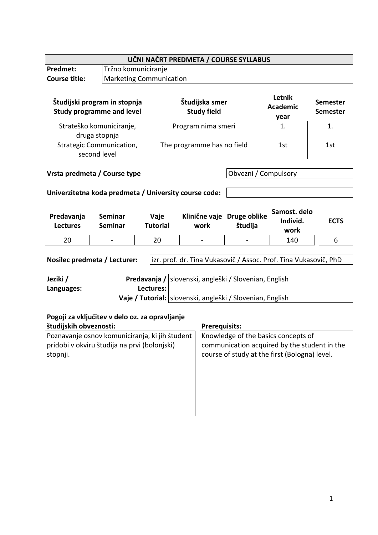| UČNI NAČRT PREDMETA / COURSE SYLLABUS |                                |  |  |
|---------------------------------------|--------------------------------|--|--|
| <b>Predmet:</b>                       | Tržno komuniciranje            |  |  |
| <b>Course title:</b>                  | <b>Marketing Communication</b> |  |  |

| Študijski program in stopnja<br><b>Study programme and level</b> | Študijska smer<br><b>Study field</b> | Letnik<br><b>Academic</b><br>year | <b>Semester</b><br><b>Semester</b> |
|------------------------------------------------------------------|--------------------------------------|-----------------------------------|------------------------------------|
| Strateško komuniciranje,<br>druga stopnja                        | Program nima smeri                   |                                   |                                    |
| Strategic Communication,<br>second level                         | The programme has no field           | 1st                               | 1st                                |

# **Vrsta predmeta / Course type Obvezni / Compulsory**

# **Univerzitetna koda predmeta / University course code:**

| Predavanja<br><b>Lectures</b> | Seminar<br>Seminar | Vaje<br>Tutorial | work            | Klinične vaje Druge oblike<br>študija | Samost. delo<br>Individ.<br>work | <b>ECTS</b> |
|-------------------------------|--------------------|------------------|-----------------|---------------------------------------|----------------------------------|-------------|
| 20                            | $\blacksquare$     | 20               | $\qquad \qquad$ | $\qquad \qquad \blacksquare$          | 140                              |             |

**Nosilec predmeta / Lecturer:** izr. prof. dr. Tina Vukasovič / Assoc. Prof. Tina Vukasovič, PhD

| Jeziki /   |           | Predavanja / slovenski, angleški / Slovenian, English       |  |
|------------|-----------|-------------------------------------------------------------|--|
| Languages: | Lectures: |                                                             |  |
|            |           | Vaje / Tutorial:   slovenski, angleški / Slovenian, English |  |

# **Pogoji za vključitev v delo oz. za opravljanje**

| študijskih obveznosti:                         | <b>Prerequisits:</b>                          |
|------------------------------------------------|-----------------------------------------------|
| Poznavanje osnov komuniciranja, ki jih študent | Knowledge of the basics concepts of           |
| pridobi v okviru študija na prvi (bolonjski)   | communication acquired by the student in the  |
| stopnji.                                       | course of study at the first (Bologna) level. |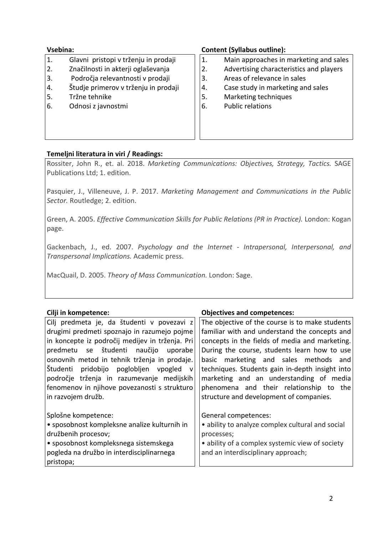- 1. Glavni pristopi v trženju in prodaji
- 2. Značilnosti in akterji oglaševanja
- 3. Področja relevantnosti v prodaji
- 4. Študje primerov v trženju in prodaji
- 5. Tržne tehnike
- 6. Odnosi z javnostmi

## **Vsebina: Content (Syllabus outline):**

- 1. Main approaches in marketing and sales
- 2. Advertising characteristics and players
- 3. Areas of relevance in sales
- 4. Case study in marketing and sales
- 5. Marketing techniques
- 6. Public relations

# **Temeljni literatura in viri / Readings:**

Rossiter, John R., et. al. 2018. *Marketing Communications: Objectives, Strategy, Tactics.* SAGE Publications Ltd; 1. edition.

Pasquier, J., Villeneuve, J. P. 2017. *Marketing Management and Communications in the Public Sector.* Routledge; 2. edition.

Green, A. 2005. *Effective Communication Skills for Public Relations (PR in Practice).* London: Kogan page.

Gackenbach, J., ed. 2007. *Psychology and the Internet - Intrapersonal, Interpersonal, and Transpersonal Implications.* Academic press.

MacQuail, D. 2005. *Theory of Mass Communication.* London: Sage.

| Cilji in kompetence:                            | <b>Objectives and competences:</b>               |
|-------------------------------------------------|--------------------------------------------------|
| Cilj predmeta je, da študenti v povezavi z      | The objective of the course is to make students  |
| drugimi predmeti spoznajo in razumejo pojme     | familiar with and understand the concepts and    |
| in koncepte iz področij medijev in trženja. Pri | concepts in the fields of media and marketing.   |
| predmetu se študenti<br>naučijo<br>uporabe      | During the course, students learn how to use     |
| osnovnih metod in tehnik trženja in prodaje.    | basic marketing and sales methods and            |
| Študenti<br>pridobijo poglobljen vpogled v      | techniques. Students gain in-depth insight into  |
| področje trženja in razumevanje medijskih       | marketing and an understanding of media          |
| fenomenov in njihove povezanosti s strukturo    | phenomena and their relationship to the          |
| in razvojem družb.                              | structure and development of companies.          |
|                                                 |                                                  |
| Splošne kompetence:                             | General competences:                             |
| • sposobnost kompleksne analize kulturnih in    | • ability to analyze complex cultural and social |
| družbenih procesov;                             | processes;                                       |
| • sposobnost kompleksnega sistemskega           | • ability of a complex systemic view of society  |
| pogleda na družbo in interdisciplinarnega       | and an interdisciplinary approach;               |
| pristopa;                                       |                                                  |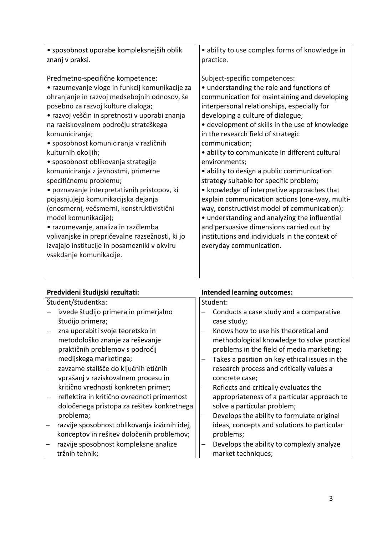| · sposobnost uporabe kompleksnejših oblik       | · ability to use complex forms of knowledge in  |
|-------------------------------------------------|-------------------------------------------------|
| znanj v praksi.                                 | practice.                                       |
|                                                 |                                                 |
| Predmetno-specifične kompetence:                | Subject-specific competences:                   |
| • razumevanje vloge in funkcij komunikacije za  | • understanding the role and functions of       |
| ohranjanje in razvoj medsebojnih odnosov, še    | communication for maintaining and developing    |
| posebno za razvoj kulture dialoga;              | interpersonal relationships, especially for     |
| • razvoj veščin in spretnosti v uporabi znanja  | developing a culture of dialogue;               |
| na raziskovalnem področju strateškega           | • development of skills in the use of knowledge |
| komuniciranja;                                  | in the research field of strategic              |
| · sposobnost komuniciranja v različnih          | communication;                                  |
| kulturnih okoljih;                              | · ability to communicate in different cultural  |
| • sposobnost oblikovanja strategije             | environments;                                   |
| komuniciranja z javnostmi, primerne             | • ability to design a public communication      |
| specifičnemu problemu;                          | strategy suitable for specific problem;         |
| · poznavanje interpretativnih pristopov, ki     | • knowledge of interpretive approaches that     |
| pojasnjujejo komunikacijska dejanja             | explain communication actions (one-way, multi-  |
| (enosmerni, večsmerni, konstruktivistični       | way, constructivist model of communication);    |
| model komunikacije);                            | • understanding and analyzing the influential   |
| • razumevanje, analiza in razčlemba             | and persuasive dimensions carried out by        |
| vplivanjske in prepričevalne razsežnosti, ki jo | institutions and individuals in the context of  |
| izvajajo institucije in posamezniki v okviru    | everyday communication.                         |
| vsakdanje komunikacije.                         |                                                 |
|                                                 |                                                 |
|                                                 |                                                 |

# **Predvideni študijski rezultati: Intended learning outcomes:**

Študent/študentka:

- izvede študijo primera in primerjalno študijo primera;
- zna uporabiti svoje teoretsko in metodološko znanje za reševanje praktičnih problemov s področij medijskega marketinga;
- zavzame stališče do ključnih etičnih vprašanj v raziskovalnem procesu in kritično vrednosti konkreten primer;
- reflektira in kritično ovrednoti primernost določenega pristopa za rešitev konkretnega problema;
- razvije sposobnost oblikovanja izvirnih idej, konceptov in rešitev določenih problemov;
- razvije sposobnost kompleksne analize tržnih tehnik;

#### Student:

- Conducts a case study and a comparative case study;
- Knows how to use his theoretical and methodological knowledge to solve practical problems in the field of media marketing;
- Takes a position on key ethical issues in the research process and critically values a concrete case;
- Reflects and critically evaluates the appropriateness of a particular approach to solve a particular problem;
- Develops the ability to formulate original ideas, concepts and solutions to particular problems;
- Develops the ability to complexly analyze market techniques;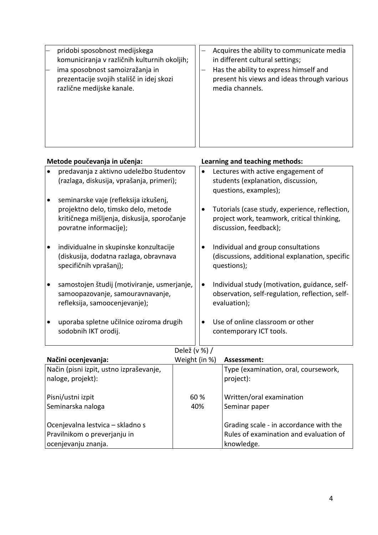|--|

| Metode poučevanja in učenja: |                                                                                                                                                       |           | Learning and teaching methods:                                                                                         |
|------------------------------|-------------------------------------------------------------------------------------------------------------------------------------------------------|-----------|------------------------------------------------------------------------------------------------------------------------|
|                              | predavanja z aktivno udeležbo študentov<br>(razlaga, diskusija, vprašanja, primeri);                                                                  | $\bullet$ | Lectures with active engagement of<br>students (explanation, discussion,<br>questions, examples);                      |
| $\bullet$                    | seminarske vaje (refleksija izkušenj,<br>projektno delo, timsko delo, metode<br>kritičnega mišljenja, diskusija, sporočanje<br>povratne informacije); | $\bullet$ | Tutorials (case study, experience, reflection,<br>project work, teamwork, critical thinking,<br>discussion, feedback); |
|                              | individualne in skupinske konzultacije<br>(diskusija, dodatna razlaga, obravnava<br>specifičnih vprašanj);                                            | ٠         | Individual and group consultations<br>(discussions, additional explanation, specific<br>questions);                    |
| $\bullet$                    | samostojen študij (motiviranje, usmerjanje,<br>samoopazovanje, samouravnavanje,<br>refleksija, samoocenjevanje);                                      | $\bullet$ | Individual study (motivation, guidance, self-<br>observation, self-regulation, reflection, self-<br>evaluation);       |
| $\bullet$                    | uporaba spletne učilnice oziroma drugih<br>sodobnih IKT orodij.                                                                                       | $\bullet$ | Use of online classroom or other<br>contemporary ICT tools.                                                            |
|                              | $R = 1 - Y / T$                                                                                                                                       |           |                                                                                                                        |

# Delež (v %) /

| Načini ocenjevanja:                     | Weight (in %) | Assessment:                            |
|-----------------------------------------|---------------|----------------------------------------|
| Način (pisni izpit, ustno izpraševanje, |               | Type (examination, oral, coursework,   |
| naloge, projekt):                       |               | project):                              |
|                                         |               |                                        |
| Pisni/ustni izpit                       | 60 %          | Written/oral examination               |
| Seminarska naloga                       | 40%           | Seminar paper                          |
|                                         |               |                                        |
| Ocenjevalna lestvica - skladno s        |               | Grading scale - in accordance with the |
| Pravilnikom o preverjanju in            |               | Rules of examination and evaluation of |
| ocenjevanju znanja.                     |               | knowledge.                             |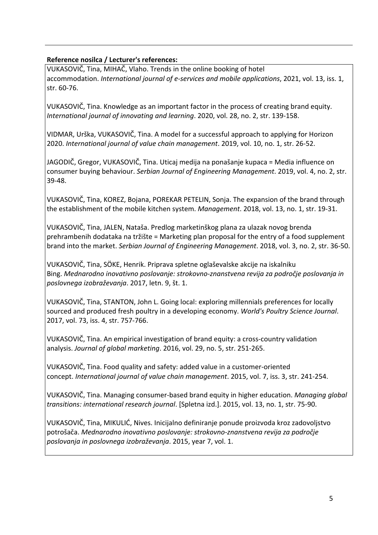# **Reference nosilca / Lecturer's references:**

VUKASOVIČ, Tina, MIHAČ, Vlaho. Trends in the online booking of hotel accommodation. *International journal of e-services and mobile applications*, 2021, vol. 13, iss. 1, str. 60-76.

VUKASOVIČ, Tina. Knowledge as an important factor in the process of creating brand equity. *International journal of innovating and learning*. 2020, vol. 28, no. 2, str. 139-158.

VIDMAR, Urška, VUKASOVIČ, Tina. A model for a successful approach to applying for Horizon 2020. *International journal of value chain management*. 2019, vol. 10, no. 1, str. 26-52.

JAGODIČ, Gregor, VUKASOVIČ, Tina. Uticaj medija na ponašanje kupaca = Media influence on consumer buying behaviour. *Serbian Journal of Engineering Management*. 2019, vol. 4, no. 2, str. 39-48.

VUKASOVIČ, Tina, KOREZ, Bojana, POREKAR PETELIN, Sonja. The expansion of the brand through the establishment of the mobile kitchen system. *Management*. 2018, vol. 13, no. 1, str. 19-31.

VUKASOVIČ, Tina, JALEN, Nataša. Predlog marketinškog plana za ulazak novog brenda prehrambenih dodataka na tržište = Marketing plan proposal for the entry of a food supplement brand into the market. *Serbian Journal of Engineering Management*. 2018, vol. 3, no. 2, str. 36-50.

VUKASOVIČ, Tina, SÖKE, Henrik. Priprava spletne oglaševalske akcije na iskalniku Bing. *Mednarodno inovativno poslovanje: strokovno-znanstvena revija za področje poslovanja in poslovnega izobraževanja*. 2017, letn. 9, št. 1.

VUKASOVIČ, Tina, STANTON, John L. Going local: exploring millennials preferences for locally sourced and produced fresh poultry in a developing economy. *World's Poultry Science Journal*. 2017, vol. 73, iss. 4, str. 757-766.

VUKASOVIČ, Tina. An empirical investigation of brand equity: a cross-country validation analysis. *Journal of global marketing*. 2016, vol. 29, no. 5, str. 251-265.

VUKASOVIČ, Tina. Food quality and safety: added value in a customer-oriented concept. *International journal of value chain management*. 2015, vol. 7, iss. 3, str. 241-254.

VUKASOVIČ, Tina. Managing consumer-based brand equity in higher education. *Managing global transitions: international research journal*. [Spletna izd.]. 2015, vol. 13, no. 1, str. 75-90.

VUKASOVIČ, Tina, MIKULIĆ, Nives. Inicijalno definiranje ponude proizvoda kroz zadovoljstvo potrošača. *Mednarodno inovativno poslovanje: strokovno-znanstvena revija za področje poslovanja in poslovnega izobraževanja*. 2015, year 7, vol. 1.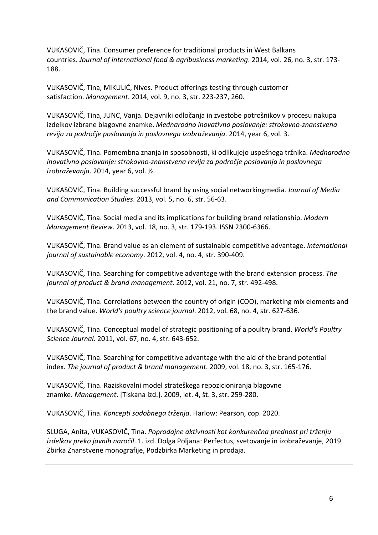VUKASOVIČ, Tina. Consumer preference for traditional products in West Balkans countries. *Journal of international food & agribusiness marketing*. 2014, vol. 26, no. 3, str. 173- 188.

VUKASOVIČ, Tina, MIKULIĆ, Nives. Product offerings testing through customer satisfaction. *Management*. 2014, vol. 9, no. 3, str. 223-237, 260.

VUKASOVIČ, Tina, JUNC, Vanja. Dejavniki odločanja in zvestobe potrošnikov v procesu nakupa izdelkov izbrane blagovne znamke. *Mednarodno inovativno poslovanje: strokovno-znanstvena revija za področje poslovanja in poslovnega izobraževanja*. 2014, year 6, vol. 3.

VUKASOVIČ, Tina. Pomembna znanja in sposobnosti, ki odlikujejo uspešnega tržnika. *Mednarodno inovativno poslovanje: strokovno-znanstvena revija za področje poslovanja in poslovnega izobraževanja*. 2014, year 6, vol. ½.

VUKASOVIČ, Tina. Building successful brand by using social networkingmedia. *Journal of Media and Communication Studies*. 2013, vol. 5, no. 6, str. 56-63.

VUKASOVIČ, Tina. Social media and its implications for building brand relationship. *Modern Management Review*. 2013, vol. 18, no. 3, str. 179-193. ISSN 2300-6366.

VUKASOVIČ, Tina. Brand value as an element of sustainable competitive advantage. *International journal of sustainable economy*. 2012, vol. 4, no. 4, str. 390-409.

VUKASOVIČ, Tina. Searching for competitive advantage with the brand extension process. *The journal of product & brand management*. 2012, vol. 21, no. 7, str. 492-498.

VUKASOVIČ, Tina. Correlations between the country of origin (COO), marketing mix elements and the brand value. *World's poultry science journal*. 2012, vol. 68, no. 4, str. 627-636.

VUKASOVIČ, Tina. Conceptual model of strategic positioning of a poultry brand. *World's Poultry Science Journal*. 2011, vol. 67, no. 4, str. 643-652.

VUKASOVIČ, Tina. Searching for competitive advantage with the aid of the brand potential index. *The journal of product & brand management*. 2009, vol. 18, no. 3, str. 165-176.

VUKASOVIČ, Tina. Raziskovalni model strateškega repozicioniranja blagovne znamke. *Management*. [Tiskana izd.]. 2009, let. 4, št. 3, str. 259-280.

VUKASOVIČ, Tina. *Koncepti sodobnega trženja*. Harlow: Pearson, cop. 2020.

SLUGA, Anita, VUKASOVIČ, Tina. *Poprodajne aktivnosti kot konkurenčna prednost pri trženju izdelkov preko javnih naročil*. 1. izd. Dolga Poljana: Perfectus, svetovanje in izobraževanje, 2019. Zbirka Znanstvene monografije, Podzbirka Marketing in prodaja.